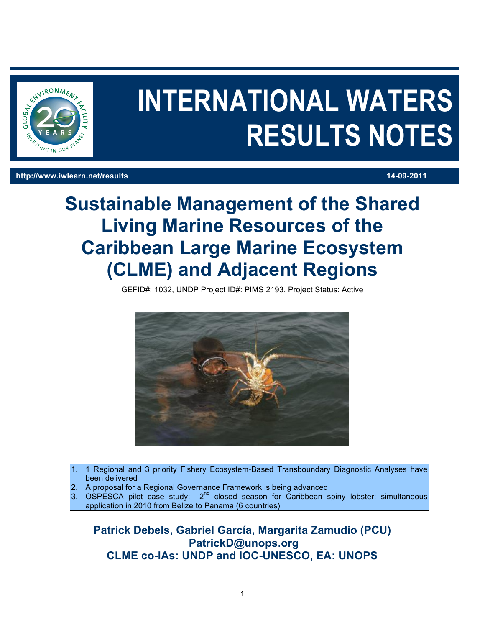

# **INTERNATIONAL WATERS RESULTS NOTES**

#### **http://www.iwlearn.net/results 14-09-2011**

## **Sustainable Management of the Shared Living Marine Resources of the Caribbean Large Marine Ecosystem (CLME) and Adjacent Regions**

GEFID#: 1032, UNDP Project ID#: PIMS 2193, Project Status: Active



- 1. 1 Regional and 3 priority Fishery Ecosystem-Based Transboundary Diagnostic Analyses have been delivered
- 2. A proposal for a Regional Governance Framework is being advanced
- 3. OSPESCA pilot case study:  $2<sup>nd</sup>$  closed season for Caribbean spiny lobster: simultaneous application in 2010 from Belize to Panama (6 countries)

**Patrick Debels, Gabriel García, Margarita Zamudio (PCU) PatrickD@unops.org CLME co-IAs: UNDP and IOC-UNESCO, EA: UNOPS**